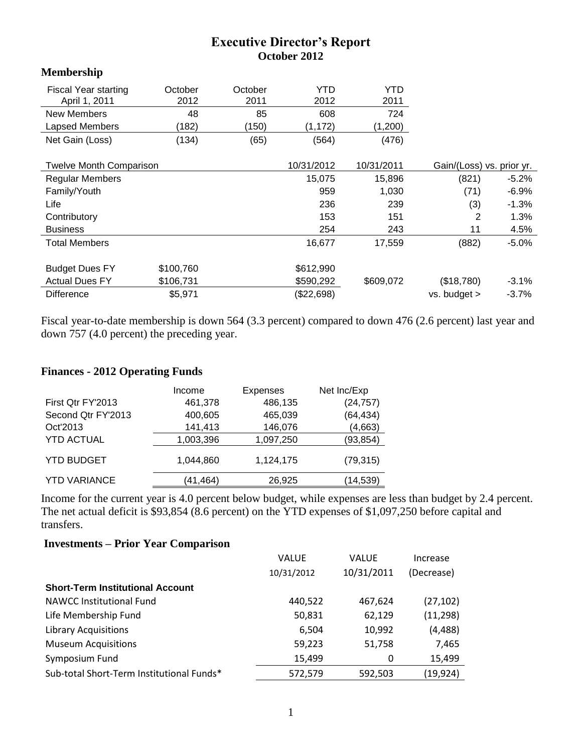## **Executive Director's Report October 2012**

## **Membership**

| <b>Fiscal Year starting</b><br>April 1, 2011 | October<br>2012 | October<br>2011 | YTD<br>2012 | YTD<br>2011 |                           |          |
|----------------------------------------------|-----------------|-----------------|-------------|-------------|---------------------------|----------|
| <b>New Members</b>                           | 48              | 85              | 608         | 724         |                           |          |
| Lapsed Members                               | (182)           | (150)           | (1, 172)    | (1,200)     |                           |          |
| Net Gain (Loss)                              | (134)           | (65)            | (564)       | (476)       |                           |          |
|                                              |                 |                 |             |             |                           |          |
| <b>Twelve Month Comparison</b>               |                 |                 | 10/31/2012  | 10/31/2011  | Gain/(Loss) vs. prior yr. |          |
| <b>Regular Members</b>                       |                 |                 | 15,075      | 15,896      | (821)                     | $-5.2\%$ |
| Family/Youth                                 |                 |                 | 959         | 1,030       | (71)                      | $-6.9%$  |
| Life                                         |                 |                 | 236         | 239         | (3)                       | $-1.3%$  |
| Contributory                                 |                 |                 | 153         | 151         | 2                         | 1.3%     |
| <b>Business</b>                              |                 |                 | 254         | 243         | 11                        | 4.5%     |
| <b>Total Members</b>                         |                 |                 | 16,677      | 17,559      | (882)                     | $-5.0\%$ |
|                                              |                 |                 |             |             |                           |          |
| <b>Budget Dues FY</b>                        | \$100,760       |                 | \$612,990   |             |                           |          |
| <b>Actual Dues FY</b>                        | \$106,731       |                 | \$590,292   | \$609,072   | (\$18,780)                | $-3.1%$  |
| <b>Difference</b>                            | \$5,971         |                 | (\$22,698)  |             | vs. budget >              | $-3.7%$  |

Fiscal year-to-date membership is down 564 (3.3 percent) compared to down 476 (2.6 percent) last year and down 757 (4.0 percent) the preceding year.

## **Finances - 2012 Operating Funds**

|                     | Income    | <b>Expenses</b> | Net Inc/Exp |
|---------------------|-----------|-----------------|-------------|
| First Qtr FY'2013   | 461,378   | 486,135         | (24, 757)   |
| Second Qtr FY'2013  | 400,605   | 465,039         | (64, 434)   |
| Oct'2013            | 141,413   | 146,076         | (4,663)     |
| <b>YTD ACTUAL</b>   | 1,003,396 | 1,097,250       | (93, 854)   |
| <b>YTD BUDGET</b>   | 1.044.860 | 1,124,175       | (79, 315)   |
| <b>YTD VARIANCE</b> | (41,464)  | 26,925          | (14,539)    |

Income for the current year is 4.0 percent below budget, while expenses are less than budget by 2.4 percent. The net actual deficit is \$93,854 (8.6 percent) on the YTD expenses of \$1,097,250 before capital and transfers.

## **Investments – Prior Year Comparison**

|                                           | <b>VALUE</b><br>10/31/2012 | <b>VALUE</b><br>10/31/2011 | Increase<br>(Decrease) |
|-------------------------------------------|----------------------------|----------------------------|------------------------|
| <b>Short-Term Institutional Account</b>   |                            |                            |                        |
| <b>NAWCC Institutional Fund</b>           | 440,522                    | 467,624                    | (27, 102)              |
| Life Membership Fund                      | 50,831                     | 62,129                     | (11, 298)              |
| <b>Library Acquisitions</b>               | 6,504                      | 10,992                     | (4, 488)               |
| <b>Museum Acquisitions</b>                | 59,223                     | 51,758                     | 7,465                  |
| Symposium Fund                            | 15,499                     | 0                          | 15,499                 |
| Sub-total Short-Term Institutional Funds* | 572,579                    | 592,503                    | (19, 924)              |